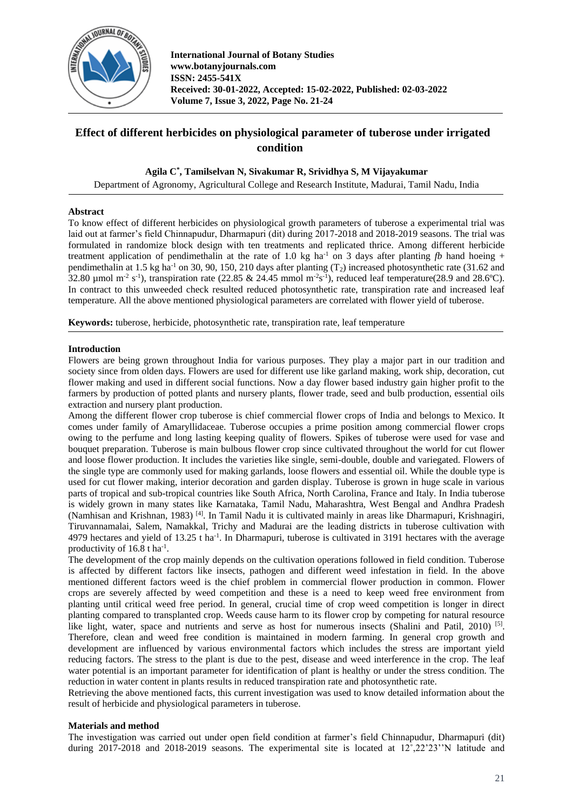

# **Effect of different herbicides on physiological parameter of tuberose under irrigated condition**

## **Agila C\* , Tamilselvan N, Sivakumar R, Srividhya S, M Vijayakumar**

Department of Agronomy, Agricultural College and Research Institute, Madurai, Tamil Nadu, India

#### **Abstract**

To know effect of different herbicides on physiological growth parameters of tuberose a experimental trial was laid out at farmer's field Chinnapudur, Dharmapuri (dit) during 2017-2018 and 2018-2019 seasons. The trial was formulated in randomize block design with ten treatments and replicated thrice. Among different herbicide treatment application of pendimethalin at the rate of 1.0 kg ha<sup>-1</sup> on 3 days after planting *fb* hand hoeing + pendimethalin at 1.5 kg ha<sup>-1</sup> on 30, 90, 150, 210 days after planting  $(T_2)$  increased photosynthetic rate (31.62 and 32.80 µmol m<sup>-2</sup> s<sup>-1</sup>), transpiration rate (22.85 & 24.45 mmol m<sup>-2</sup>s<sup>-1</sup>), reduced leaf temperature(28.9 and 28.6°C). In contract to this unweeded check resulted reduced photosynthetic rate, transpiration rate and increased leaf temperature. All the above mentioned physiological parameters are correlated with flower yield of tuberose.

**Keywords:** tuberose, herbicide, photosynthetic rate, transpiration rate, leaf temperature

#### **Introduction**

Flowers are being grown throughout India for various purposes. They play a major part in our tradition and society since from olden days. Flowers are used for different use like garland making, work ship, decoration, cut flower making and used in different social functions. Now a day flower based industry gain higher profit to the farmers by production of potted plants and nursery plants, flower trade, seed and bulb production, essential oils extraction and nursery plant production.

Among the different flower crop tuberose is chief commercial flower crops of India and belongs to Mexico. It comes under family of Amaryllidaceae. Tuberose occupies a prime position among commercial flower crops owing to the perfume and long lasting keeping quality of flowers. Spikes of tuberose were used for vase and bouquet preparation. Tuberose is main bulbous flower crop since cultivated throughout the world for cut flower and loose flower production. It includes the varieties like single, semi-double, double and variegated. Flowers of the single type are commonly used for making garlands, loose flowers and essential oil. While the double type is used for cut flower making, interior decoration and garden display. Tuberose is grown in huge scale in various parts of tropical and sub-tropical countries like South Africa, North Carolina, France and Italy. In India tuberose is widely grown in many states like Karnataka, Tamil Nadu, Maharashtra, West Bengal and Andhra Pradesh (Namhisan and Krishnan, 1983)<sup>[4]</sup>. In Tamil Nadu it is cultivated mainly in areas like Dharmapuri, Krishnagiri, Tiruvannamalai, Salem, Namakkal, Trichy and Madurai are the leading districts in tuberose cultivation with 4979 hectares and yield of 13.25 t ha<sup>-1</sup>. In Dharmapuri, tuberose is cultivated in 3191 hectares with the average productivity of  $16.8$  t ha<sup>-1</sup>.

The development of the crop mainly depends on the cultivation operations followed in field condition. Tuberose is affected by different factors like insects, pathogen and different weed infestation in field. In the above mentioned different factors weed is the chief problem in commercial flower production in common. Flower crops are severely affected by weed competition and these is a need to keep weed free environment from planting until critical weed free period. In general, crucial time of crop weed competition is longer in direct planting compared to transplanted crop. Weeds cause harm to its flower crop by competing for natural resource like light, water, space and nutrients and serve as host for numerous insects (Shalini and Patil, 2010)<sup>[5]</sup>. Therefore, clean and weed free condition is maintained in modern farming. In general crop growth and development are influenced by various environmental factors which includes the stress are important yield reducing factors. The stress to the plant is due to the pest, disease and weed interference in the crop. The leaf water potential is an important parameter for identification of plant is healthy or under the stress condition. The reduction in water content in plants results in reduced transpiration rate and photosynthetic rate.

Retrieving the above mentioned facts, this current investigation was used to know detailed information about the result of herbicide and physiological parameters in tuberose.

#### **Materials and method**

The investigation was carried out under open field condition at farmer's field Chinnapudur, Dharmapuri (dit) during 2017-2018 and 2018-2019 seasons. The experimental site is located at 12°,22'23''N latitude and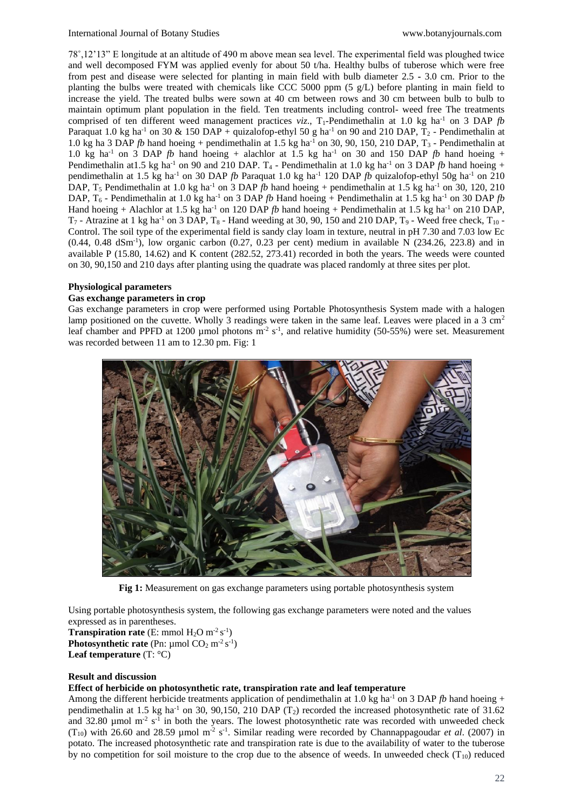78˚,12'13" E longitude at an altitude of 490 m above mean sea level. The experimental field was ploughed twice and well decomposed FYM was applied evenly for about 50 t/ha. Healthy bulbs of tuberose which were free from pest and disease were selected for planting in main field with bulb diameter 2.5 **-** 3.0 cm. Prior to the planting the bulbs were treated with chemicals like CCC 5000 ppm (5 g/L) before planting in main field to increase the yield. The treated bulbs were sown at 40 cm between rows and 30 cm between bulb to bulb to maintain optimum plant population in the field. Ten treatments including control- weed free The treatments comprised of ten different weed management practices *viz.*, T<sub>1</sub>-Pendimethalin at 1.0 kg ha<sup>-1</sup> on 3 DAP *fb* Paraquat 1.0 kg ha<sup>-1</sup> on 30 & 150 DAP + quizalofop-ethyl 50 g ha<sup>-1</sup> on 90 and 210 DAP,  $T_2$  - Pendimethalin at 1.0 kg ha 3 DAP *fb* hand hoeing + pendimethalin at 1.5 kg ha<sup>-1</sup> on 30, 90, 150, 210 DAP,  $T_3$ -Pendimethalin at 1.0 kg ha<sup>-1</sup> on 3 DAP *fb* hand hoeing + alachlor at 1.5 kg ha<sup>-1</sup> on 30 and 150 DAP *fb* hand hoeing + Pendimethalin at 1.5 kg ha<sup>-1</sup> on 90 and 210 DAP. T<sub>4</sub> - Pendimethalin at 1.0 kg ha<sup>-1</sup> on 3 DAP *fb* hand hoeing + pendimethalin at 1.5 kg ha-1 on 30 DAP *fb* Paraquat 1.0 kg ha-1 120 DAP *fb* quizalofop-ethyl 50g ha-1 on 210 DAP,  $T_5$  Pendimethalin at 1.0 kg ha<sup>-1</sup> on 3 DAP  $\bar{f}b$  hand hoeing + pendimethalin at 1.5 kg ha<sup>-1</sup> on 30, 120, 210 DAP, T<sub>6</sub> - Pendimethalin at 1.0 kg ha<sup>-1</sup> on 3 DAP *fb* Hand hoeing + Pendimethalin at 1.5 kg ha<sup>-1</sup> on 30 DAP *fb* Hand hoeing + Alachlor at 1.5 kg ha-1 on 120 DAP *fb* hand hoeing + Pendimethalin at 1.5 kg ha-1 on 210 DAP,  $T_7$  - Atrazine at 1 kg ha<sup>-1</sup> on 3 DAP,  $T_8$  - Hand weeding at 30, 90, 150 and 210 DAP,  $T_9$  - Weed free check,  $T_{10}$  -Control. The soil type of the experimental field is sandy clay loam in texture, neutral in pH 7.30 and 7.03 low Ec  $(0.44, 0.48$   $dSm^{-1}$ ), low organic carbon  $(0.27, 0.23$  per cent) medium in available N  $(234.26, 223.8)$  and in available P (15.80, 14.62) and K content (282.52, 273.41) recorded in both the years. The weeds were counted on 30, 90,150 and 210 days after planting using the quadrate was placed randomly at three sites per plot.

#### **Physiological parameters**

#### **Gas exchange parameters in crop**

Gas exchange parameters in crop were performed using Portable Photosynthesis System made with a halogen lamp positioned on the cuvette. Wholly 3 readings were taken in the same leaf. Leaves were placed in a 3 cm<sup>2</sup> leaf chamber and PPFD at 1200 µmol photons  $m^2 s^{-1}$ , and relative humidity (50-55%) were set. Measurement was recorded between 11 am to 12.30 pm. Fig: 1



**Fig 1:** Measurement on gas exchange parameters using portable photosynthesis system

Using portable photosynthesis system, the following gas exchange parameters were noted and the values expressed as in parentheses.

**Transpiration rate** (E: mmol  $H_2O$  m<sup>-2</sup> s<sup>-1</sup>) **Photosynthetic rate** (Pn:  $\mu$ mol CO<sub>2</sub> m<sup>-2</sup> s<sup>-1</sup>) **Leaf temperature** (T: °C)

#### **Result and discussion**

#### **Effect of herbicide on photosynthetic rate, transpiration rate and leaf temperature**

Among the different herbicide treatments application of pendimethalin at 1.0 kg ha<sup>-1</sup> on 3 DAP  $fb$  hand hoeing + pendimethalin at 1.5 kg ha<sup>-1</sup> on 30, 90,150, 210 DAP ( $T_2$ ) recorded the increased photosynthetic rate of 31.62 and 32.80 µmol  $m<sup>2</sup>$  s<sup>-1</sup> in both the years. The lowest photosynthetic rate was recorded with unweeded check (T<sub>10</sub>) with 26.60 and 28.59 µmol m<sup>-2</sup> s<sup>-1</sup>. Similar reading were recorded by Channappagoudar *et al.* (2007) in potato. The increased photosynthetic rate and transpiration rate is due to the availability of water to the tuberose by no competition for soil moisture to the crop due to the absence of weeds. In unweeded check  $(T_{10})$  reduced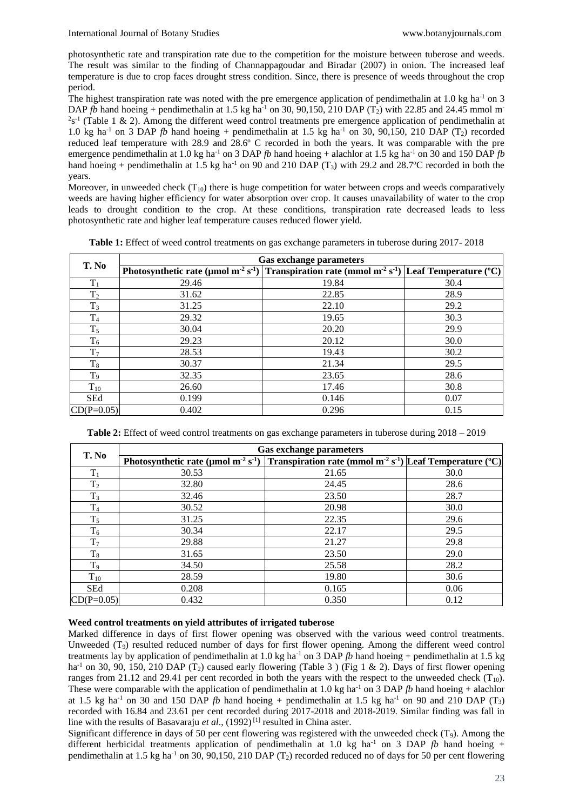photosynthetic rate and transpiration rate due to the competition for the moisture between tuberose and weeds. The result was similar to the finding of Channappagoudar and Biradar (2007) in onion. The increased leaf temperature is due to crop faces drought stress condition. Since, there is presence of weeds throughout the crop period.

The highest transpiration rate was noted with the pre emergence application of pendimethalin at 1.0 kg ha<sup>-1</sup> on 3 DAP *fb* hand hoeing + pendimethalin at 1.5 kg ha<sup>-1</sup> on 30, 90,150, 210 DAP (T<sub>2</sub>) with 22.85 and 24.45 mmol m<sup>-</sup>  $2s^{-1}$  (Table 1 & 2). Among the different weed control treatments pre emergence application of pendimethalin at 1.0 kg ha<sup>-1</sup> on 3 DAP *fb* hand hoeing + pendimethalin at 1.5 kg ha<sup>-1</sup> on 30, 90,150, 210 DAP (T<sub>2</sub>) recorded reduced leaf temperature with 28.9 and 28.6º C recorded in both the years. It was comparable with the pre emergence pendimethalin at 1.0 kg ha<sup>-1</sup> on 3 DAP  $fb$  hand hoeing + alachlor at 1.5 kg ha<sup>-1</sup> on 30 and 150 DAP  $fb$ hand hoeing + pendimethalin at 1.5 kg ha<sup>-1</sup> on 90 and 210 DAP (T<sub>3</sub>) with 29.2 and 28.7°C recorded in both the years.

Moreover, in unweeded check  $(T_{10})$  there is huge competition for water between crops and weeds comparatively weeds are having higher efficiency for water absorption over crop. It causes unavailability of water to the crop leads to drought condition to the crop. At these conditions, transpiration rate decreased leads to less photosynthetic rate and higher leaf temperature causes reduced flower yield.

**Table 1:** Effect of weed control treatments on gas exchange parameters in tuberose during 2017- 2018

| T. No          | <b>Gas exchange parameters</b> |                                                                                                                                              |      |  |
|----------------|--------------------------------|----------------------------------------------------------------------------------------------------------------------------------------------|------|--|
|                |                                | Photosynthetic rate (µmol m <sup>-2</sup> s <sup>-1</sup> ) Transpiration rate (mmol m <sup>-2</sup> s <sup>-1</sup> ) Leaf Temperature (°C) |      |  |
| $T_1$          | 29.46                          | 19.84                                                                                                                                        | 30.4 |  |
| T <sub>2</sub> | 31.62                          | 22.85                                                                                                                                        | 28.9 |  |
| $T_3$          | 31.25                          | 22.10                                                                                                                                        | 29.2 |  |
| $\rm T_4$      | 29.32                          | 19.65                                                                                                                                        | 30.3 |  |
| $T_5$          | 30.04                          | 20.20                                                                                                                                        | 29.9 |  |
| $T_6$          | 29.23                          | 20.12                                                                                                                                        | 30.0 |  |
| $T_7$          | 28.53                          | 19.43                                                                                                                                        | 30.2 |  |
| $T_8$          | 30.37                          | 21.34                                                                                                                                        | 29.5 |  |
| $T_9$          | 32.35                          | 23.65                                                                                                                                        | 28.6 |  |
| $T_{10}$       | 26.60                          | 17.46                                                                                                                                        | 30.8 |  |
| <b>SEd</b>     | 0.199                          | 0.146                                                                                                                                        | 0.07 |  |
| $CD(P=0.05)$   | 0.402                          | 0.296                                                                                                                                        | 0.15 |  |

**Table 2:** Effect of weed control treatments on gas exchange parameters in tuberose during 2018 – 2019

| T. No          | <b>Gas exchange parameters</b>                                                                                                               |       |      |
|----------------|----------------------------------------------------------------------------------------------------------------------------------------------|-------|------|
|                | Photosynthetic rate (µmol m <sup>-2</sup> s <sup>-1</sup> ) Transpiration rate (mmol m <sup>-2</sup> s <sup>-1</sup> ) Leaf Temperature (°C) |       |      |
| $T_1$          | 30.53                                                                                                                                        | 21.65 | 30.0 |
| T <sub>2</sub> | 32.80                                                                                                                                        | 24.45 | 28.6 |
| $T_3$          | 32.46                                                                                                                                        | 23.50 | 28.7 |
| $T_4$          | 30.52                                                                                                                                        | 20.98 | 30.0 |
| $T_5$          | 31.25                                                                                                                                        | 22.35 | 29.6 |
| $T_6$          | 30.34                                                                                                                                        | 22.17 | 29.5 |
| $T_7$          | 29.88                                                                                                                                        | 21.27 | 29.8 |
| $T_8$          | 31.65                                                                                                                                        | 23.50 | 29.0 |
| T <sub>9</sub> | 34.50                                                                                                                                        | 25.58 | 28.2 |
| $T_{10}$       | 28.59                                                                                                                                        | 19.80 | 30.6 |
| <b>SEd</b>     | 0.208                                                                                                                                        | 0.165 | 0.06 |
| $CD(P=0.05)$   | 0.432                                                                                                                                        | 0.350 | 0.12 |

#### **Weed control treatments on yield attributes of irrigated tuberose**

Marked difference in days of first flower opening was observed with the various weed control treatments. Unweeded (T9) resulted reduced number of days for first flower opening. Among the different weed control treatments lay by application of pendimethalin at 1.0 kg ha<sup>-1</sup> on 3 DAP  $fb$  hand hoeing + pendimethalin at 1.5 kg ha<sup>-1</sup> on 30, 90, 150, 210 DAP (T<sub>2</sub>) caused early flowering (Table 3) (Fig 1 & 2). Days of first flower opening ranges from 21.12 and 29.41 per cent recorded in both the years with the respect to the unweeded check  $(T_{10})$ . These were comparable with the application of pendimethalin at 1.0 kg ha<sup>-1</sup> on 3 DAP *fb* hand hoeing + alachlor at 1.5 kg ha<sup>-1</sup> on 30 and 150 DAP *fb* hand hoeing + pendimethalin at 1.5 kg ha<sup>-1</sup> on 90 and 210 DAP (T<sub>3</sub>) recorded with 16.84 and 23.61 per cent recorded during 2017-2018 and 2018-2019. Similar finding was fall in line with the results of Basavaraju et al., (1992)<sup>[1]</sup> resulted in China aster.

Significant difference in days of 50 per cent flowering was registered with the unweeded check  $(T<sub>9</sub>)$ . Among the different herbicidal treatments application of pendimethalin at 1.0 kg ha<sup>-1</sup> on 3 DAP *fb* hand hoeing + pendimethalin at 1.5 kg ha<sup>-1</sup> on 30, 90,150, 210 DAP (T<sub>2</sub>) recorded reduced no of days for 50 per cent flowering